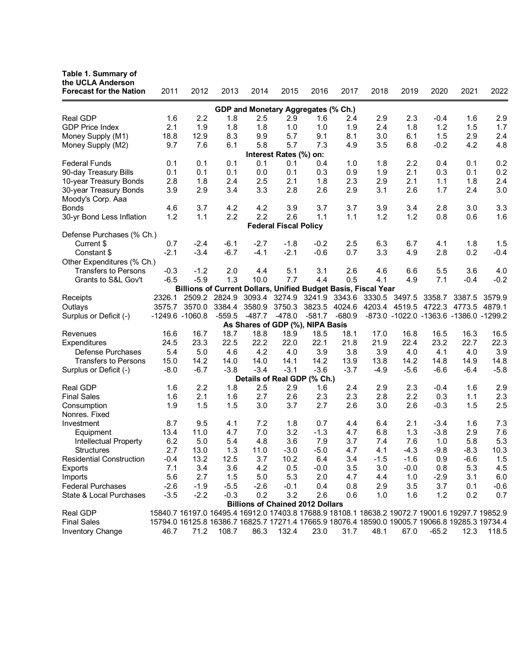| Table 1. Summary of<br>the UCLA Anderson<br><b>Forecast for the Nation</b> | 2011   | 2012                                                                                            | 2013     | 2014     | 2015                                    | 2016     | 2017     | 2018   | 2019          | 2020                                   | 2021   | 2022   |
|----------------------------------------------------------------------------|--------|-------------------------------------------------------------------------------------------------|----------|----------|-----------------------------------------|----------|----------|--------|---------------|----------------------------------------|--------|--------|
|                                                                            |        |                                                                                                 |          |          |                                         |          |          |        |               |                                        |        |        |
| GDP and Monetary Aggregates (% Ch.)                                        |        |                                                                                                 |          |          |                                         |          |          |        |               |                                        |        |        |
| Real GDP                                                                   | 1.6    | 2.2                                                                                             | 1.8      | 2.5      | 2.9                                     | 1.6      | 2.4      | 2.9    | 2.3           | $-0.4$                                 | 1.6    | 2.9    |
| <b>GDP Price Index</b>                                                     | 2.1    | 1.9                                                                                             | 1.8      | 1.8      | 1.0                                     | 1.0      | 1.9      | 2.4    | 1.8           | 1.2                                    | 1.5    | 1.7    |
| Money Supply (M1)                                                          | 18.8   | 12.9                                                                                            | 8.3      | 9.9      | 5.7                                     | 9.1      | 8.1      | 3.0    | 6.1           | 1.5                                    | 2.9    | 2.4    |
| Money Supply (M2)                                                          | 9.7    | 7.6                                                                                             | 6.1      | 5.8      | 5.7                                     | 7.3      | 4.9      | 3.5    | 6.8           | $-0.2$                                 | 4.2    | 4.8    |
|                                                                            |        |                                                                                                 |          |          | Interest Rates (%) on:                  |          |          |        |               |                                        |        |        |
| <b>Federal Funds</b>                                                       | 0.1    | 0.1                                                                                             | 0.1      | 0.1      | 0.1                                     | 0.4      | 1.0      | 1.8    | 2.2           | 0.4                                    | 0.1    | 0.2    |
| 90-day Treasury Bills                                                      | 0.1    | 0.1                                                                                             | 0.1      | 0.0      | 0.1                                     | 0.3      | 0.9      | 1.9    | 2.1           | 0.3                                    | 0.1    | 0.2    |
| 10-year Treasury Bonds                                                     | 2.8    | 1.8                                                                                             | 2.4      | 2.5      | 2.1                                     | 1.8      | 2.3      | 2.9    | 2.1           | 1.1                                    | 1.8    | 2.4    |
| 30-year Treasury Bonds<br>Moody's Corp. Aaa                                | 3.9    | 2.9                                                                                             | 3.4      | 3.3      | 2.8                                     | 2.6      | 2.9      | 3.1    | 2.6           | 1.7                                    | 2.4    | 3.0    |
| <b>Bonds</b>                                                               | 4.6    | 3.7                                                                                             | 4.2      | 4.2      | 3.9                                     | 3.7      | 3.7      | 3.9    | 3.4           | 2.8                                    | 3.0    | 3.3    |
| 30-yr Bond Less Inflation                                                  | 1.2    | 1.1                                                                                             | 2.2      | 2.2      | 2.6                                     | 1.1      | 1.1      | 1.2    | 1.2           | 0.8                                    | 0.6    | 1.6    |
|                                                                            |        |                                                                                                 |          |          | <b>Federal Fiscal Policy</b>            |          |          |        |               |                                        |        |        |
| Defense Purchases (% Ch.)                                                  |        |                                                                                                 |          |          |                                         |          |          |        |               |                                        |        |        |
| Current \$                                                                 | 0.7    | $-2.4$                                                                                          | $-6.1$   | $-2.7$   | $-1.8$                                  | $-0.2$   | 2.5      | 6.3    | 6.7           | 4.1                                    | 1.8    | 1.5    |
| Constant \$                                                                | $-2.1$ | $-3.4$                                                                                          | $-6.7$   | $-4.1$   | $-2.1$                                  | $-0.6$   | 0.7      | 3.3    | 4.9           | 2.8                                    | 0.2    | $-0.4$ |
| Other Expenditures (% Ch.)                                                 |        |                                                                                                 |          |          |                                         |          |          |        |               |                                        |        |        |
| <b>Transfers to Persons</b>                                                | $-0.3$ | $-1.2$                                                                                          | 2.0      | 4.4      | 5.1                                     | 3.1      | 2.6      | 4.6    | 6.6           | 5.5                                    | 3.6    | 4.0    |
| Grants to S&L Gov't                                                        | $-6.5$ | $-5.9$                                                                                          | 1.3      | 10.0     | 7.7                                     | 4.4      | 0.5      | 4.1    | 4.9           | 7.1                                    | $-0.4$ | $-0.2$ |
|                                                                            |        | Billions of Current Dollars, Unified Budget Basis, Fiscal Year                                  |          |          |                                         |          |          |        |               |                                        |        |        |
| Receipts                                                                   | 2326.1 | 2509.2                                                                                          | 2824.9   | 3093.4   | 3274.9                                  | 3241.9   | 3343.6   | 3330.5 | 3497.5        | 3358.7                                 | 3387.5 | 3579.9 |
| Outlays                                                                    | 3575.7 | 3570.0                                                                                          | 3384.4   | 3580.9   | 3750.3                                  | 3823.5   | 4024.6   |        | 4203.4 4519.5 | 4722.3                                 | 4773.5 | 4879.1 |
| Surplus or Deficit (-)                                                     |        | -1249.6 -1060.8                                                                                 | $-559.5$ | $-487.7$ | $-478.0$                                | $-581.7$ | $-680.9$ |        |               | -873.0 -1022.0 -1363.6 -1386.0 -1299.2 |        |        |
|                                                                            |        |                                                                                                 |          |          | As Shares of GDP (%), NIPA Basis        |          |          |        |               |                                        |        |        |
| Revenues                                                                   | 16.6   | 16.7                                                                                            | 18.7     | 18.8     | 18.9                                    | 18.5     | 18.1     | 17.0   | 16.8          | 16.5                                   | 16.3   | 16.5   |
| Expenditures                                                               | 24.5   | 23.3                                                                                            | 22.5     | 22.2     | 22.0                                    | 22.1     | 21.8     | 21.9   | 22.4          | 23.2                                   | 22.7   | 22.3   |
| Defense Purchases                                                          | 5.4    | 5.0                                                                                             | 4.6      | 4.2      | 4.0                                     | 3.9      | 3.8      | 3.9    | 4.0           | 4.1                                    | 4.0    | 3.9    |
| <b>Transfers to Persons</b>                                                | 15.0   | 14.2                                                                                            | 14.0     | 14.0     | 14.1                                    | 14.2     | 13.9     | 13.8   | 14.2          | 14.8                                   | 14.9   | 14.8   |
| Surplus or Deficit (-)                                                     | $-8.0$ | $-6.7$                                                                                          | $-3.8$   | $-3.4$   | $-3.1$                                  | $-3.6$   | $-3.7$   | $-4.9$ | $-5.6$        | $-6.6$                                 | $-6.4$ | $-5.8$ |
|                                                                            |        |                                                                                                 |          |          | Details of Real GDP (% Ch.)             |          |          |        |               |                                        |        |        |
| <b>Real GDP</b>                                                            | 1.6    | 2.2                                                                                             | 1.8      | 2.5      | 2.9                                     | 1.6      | 2.4      | 2.9    | 2.3           | $-0.4$                                 | 1.6    | 2.9    |
| <b>Final Sales</b>                                                         | 1.6    | 2.1                                                                                             | 1.6      | 2.7      | 2.6                                     | 2.3      | 2.3      | 2.8    | 2.2           | 0.3                                    | 1.1    | 2.3    |
| Consumption<br>Nonres. Fixed                                               | 1.9    | 1.5                                                                                             | 1.5      | 3.0      | 3.7                                     | 2.7      | 2.6      | 3.0    | 2.6           | $-0.3$                                 | 1.5    | 2.5    |
| Investment                                                                 | 8.7    | 9.5                                                                                             | 4.1      | 7.2      | 1.8                                     | 0.7      | 4.4      | 6.4    | 2.1           | $-3.4$                                 | 1.6    | 7.3    |
| Equipment                                                                  | 13.4   | 11.0                                                                                            | 4.7      | 7.0      | 3.2                                     | $-1.3$   | 4.7      | 6.8    | 1.3           | $-3.8$                                 | 2.9    | 7.6    |
| Intellectual Property                                                      | 6.2    | 5.0                                                                                             | 5.4      | 4.8      | 3.6                                     | 7.9      | 3.7      | 7.4    | 7.6           | 1.0                                    | 5.8    | 5.3    |
| <b>Structures</b>                                                          | 2.7    | 13.0                                                                                            | 1.3      | 11.0     | $-3.0$                                  | $-5.0$   | 4.7      | 4.1    | $-4.3$        | $-9.8$                                 | $-8.3$ | 10.3   |
| <b>Residential Construction</b>                                            | $-0.4$ | 13.2                                                                                            | 12.5     | 3.7      | 10.2                                    | 6.4      | 3.4      | $-1.5$ | $-1.6$        | 0.9                                    | $-6.6$ | 1.5    |
| Exports                                                                    | 7.1    | 3.4                                                                                             | 3.6      | 4.2      | 0.5                                     | $-0.0$   | 3.5      | 3.0    | $-0.0$        | 0.8                                    | 5.3    | 4.5    |
| Imports                                                                    | 5.6    | 2.7                                                                                             | 1.5      | 5.0      | 5.3                                     | 2.0      | 4.7      | 4.4    | 1.0           | $-2.9$                                 | 3.1    | 6.0    |
| <b>Federal Purchases</b>                                                   | $-2.6$ | $-1.9$                                                                                          | $-5.5$   | $-2.6$   | $-0.1$                                  | 0.4      | 0.8      | 2.9    | 3.5           | 3.7                                    | 0.1    | $-0.6$ |
| State & Local Purchases                                                    | $-3.5$ | $-2.2$                                                                                          | $-0.3$   | 0.2      | 3.2                                     | 2.6      | 0.6      | 1.0    | 1.6           | 1.2                                    | 0.2    | 0.7    |
|                                                                            |        |                                                                                                 |          |          | <b>Billions of Chained 2012 Dollars</b> |          |          |        |               |                                        |        |        |
| Real GDP                                                                   |        | 15840.7 16197.0 16495.4 16912.0 17403.8 17688.9 18108.1 18638.2 19072.7 19001.6 19297.7 19852.9 |          |          |                                         |          |          |        |               |                                        |        |        |
| <b>Final Sales</b>                                                         |        | 15794.0 16125.8 16386.7 16825.7 17271.4 17665.9 18076.4 18590.0 19005.7 19066.8 19285.3 19734.4 |          |          |                                         |          |          |        |               |                                        |        |        |
| Inventory Change                                                           | 46.7   | 71.2                                                                                            | 108.7    | 86.3     | 132.4                                   | 23.0     | 31.7     | 48.1   | 67.0          | $-65.2$                                | 12.3   | 118.5  |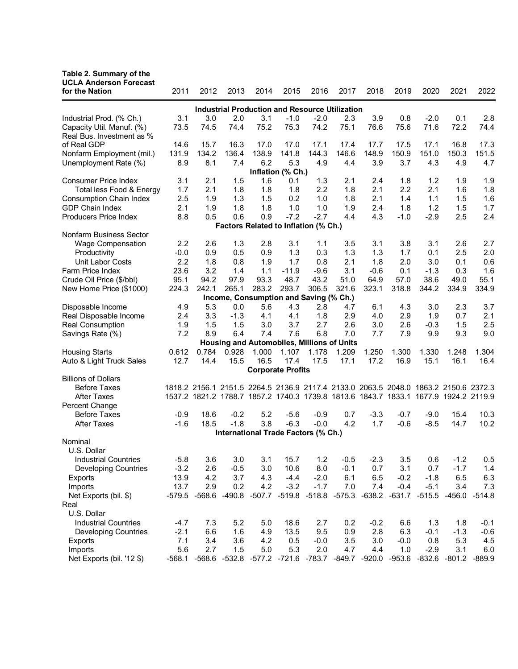## **Table 2. Summary of the**

| <b>UCLA Anderson Forecast</b>                              |        |                                                                                     |                                                   |       |                          |        |        |        |            |        |               |                  |  |
|------------------------------------------------------------|--------|-------------------------------------------------------------------------------------|---------------------------------------------------|-------|--------------------------|--------|--------|--------|------------|--------|---------------|------------------|--|
| for the Nation                                             | 2011   | 2012                                                                                | 2013                                              | 2014  | 2015                     | 2016   | 2017   | 2018   | 2019       | 2020   | 2021          | 2022             |  |
| <b>Industrial Production and Resource Utilization</b>      |        |                                                                                     |                                                   |       |                          |        |        |        |            |        |               |                  |  |
| Industrial Prod. (% Ch.)                                   | 3.1    | 3.0                                                                                 | 2.0                                               | 3.1   | $-1.0$                   | $-2.0$ | 2.3    | 3.9    | 0.8        | $-2.0$ | 0.1           | 2.8              |  |
| Capacity Util. Manuf. (%)                                  | 73.5   | 74.5                                                                                | 74.4                                              | 75.2  | 75.3                     | 74.2   | 75.1   | 76.6   | 75.6       | 71.6   | 72.2          | 74.4             |  |
| Real Bus. Investment as %                                  |        |                                                                                     |                                                   |       |                          |        |        |        |            |        |               |                  |  |
| of Real GDP                                                | 14.6   | 15.7                                                                                | 16.3                                              | 17.0  | 17.0                     | 17.1   | 17.4   | 17.7   | 17.5       | 17.1   | 16.8          | 17.3             |  |
| Nonfarm Employment (mil.)                                  | 131.9  | 134.2                                                                               | 136.4                                             | 138.9 | 141.8                    | 144.3  | 146.6  | 148.9  | 150.9      | 151.0  | 150.3         | 151.5            |  |
| Unemployment Rate (%)                                      | 8.9    | 8.1                                                                                 | 7.4                                               | 6.2   | 5.3                      | 4.9    | 4.4    | 3.9    | 3.7        | 4.3    | 4.9           | 4.7              |  |
|                                                            |        |                                                                                     |                                                   |       | Inflation (% Ch.)        |        |        |        |            |        |               |                  |  |
| <b>Consumer Price Index</b>                                | 3.1    | 2.1                                                                                 | 1.5                                               | 1.6   | 0.1                      | 1.3    | 2.1    | 2.4    | 1.8        | 1.2    | 1.9           | 1.9              |  |
| Total less Food & Energy                                   | 1.7    | 2.1                                                                                 | 1.8                                               | 1.8   | 1.8                      | 2.2    | 1.8    | 2.1    | 2.2        | 2.1    | 1.6           | 1.8              |  |
| Consumption Chain Index                                    | 2.5    | 1.9                                                                                 | 1.3                                               | 1.5   | 0.2                      | 1.0    | 1.8    | 2.1    | 1.4        | 1.1    | 1.5           | 1.6              |  |
| GDP Chain Index                                            | 2.1    | 1.9                                                                                 | 1.8                                               | 1.8   | 1.0                      | 1.0    | 1.9    | 2.4    | 1.8        | 1.2    | 1.5           | 1.7              |  |
| Producers Price Index                                      | 8.8    | 0.5                                                                                 | 0.6                                               | 0.9   | $-7.2$                   | $-2.7$ | 4.4    | 4.3    | $-1.0$     | $-2.9$ | 2.5           | 2.4              |  |
|                                                            |        |                                                                                     | Factors Related to Inflation (% Ch.)              |       |                          |        |        |        |            |        |               |                  |  |
| Nonfarm Business Sector                                    | 2.2    | 2.6                                                                                 | 1.3                                               | 2.8   | 3.1                      | 1.1    | 3.5    | 3.1    | 3.8        | 3.1    | 2.6           | 2.7              |  |
| <b>Wage Compensation</b><br>Productivity                   | $-0.0$ | 0.9                                                                                 | 0.5                                               | 0.9   | 1.3                      | 0.3    | 1.3    | 1.3    | 1.7        | 0.1    | 2.5           | 2.0              |  |
| Unit Labor Costs                                           | 2.2    | 1.8                                                                                 | 0.8                                               | 1.9   | 1.7                      | 0.8    | 2.1    | 1.8    | 2.0        | 3.0    | 0.1           | 0.6              |  |
| Farm Price Index                                           | 23.6   | 3.2                                                                                 | 1.4                                               | 1.1   | $-11.9$                  | $-9.6$ | 3.1    | $-0.6$ | 0.1        | $-1.3$ | 0.3           | 1.6              |  |
| Crude Oil Price (\$/bbl)                                   | 95.1   | 94.2                                                                                | 97.9                                              | 93.3  | 48.7                     | 43.2   | 51.0   | 64.9   | 57.0       | 38.6   | 49.0          | 55.1             |  |
| New Home Price (\$1000)                                    | 224.3  | 242.1                                                                               | 265.1                                             | 283.2 | 293.7                    | 306.5  | 321.6  | 323.1  | 318.8      | 344.2  | 334.9         | 334.9            |  |
|                                                            |        |                                                                                     | Income, Consumption and Saving (% Ch.)            |       |                          |        |        |        |            |        |               |                  |  |
| Disposable Income                                          | 4.9    | 5.3                                                                                 | 0.0                                               | 5.6   | 4.3                      | 2.8    | 4.7    | 6.1    | 4.3        | 3.0    | 2.3           | 3.7              |  |
| Real Disposable Income                                     | 2.4    | 3.3                                                                                 | $-1.3$                                            | 4.1   | 4.1                      | 1.8    | 2.9    | 4.0    | 2.9        | 1.9    | 0.7           | 2.1              |  |
| <b>Real Consumption</b>                                    | 1.9    | 1.5                                                                                 | 1.5                                               | 3.0   | 3.7                      | 2.7    | 2.6    | 3.0    | 2.6        | $-0.3$ | 1.5           | 2.5              |  |
| Savings Rate (%)                                           | 7.2    | 8.9                                                                                 | 6.4                                               | 7.4   | 7.6                      | 6.8    | 7.0    | 7.7    | 7.9        | 9.9    | 9.3           | 9.0              |  |
|                                                            |        |                                                                                     | <b>Housing and Automobiles, Millions of Units</b> |       |                          |        |        |        |            |        |               |                  |  |
| <b>Housing Starts</b>                                      | 0.612  | 0.784                                                                               | 0.928                                             | 1.000 | 1.107                    | 1.178  | 1.209  | 1.250  | 1.300      | 1.330  | 1.248         | 1.304            |  |
| Auto & Light Truck Sales                                   | 12.7   | 14.4                                                                                | 15.5                                              | 16.5  | 17.4                     | 17.5   | 17.1   | 17.2   | 16.9       | 15.1   | 16.1          | 16.4             |  |
|                                                            |        |                                                                                     |                                                   |       | <b>Corporate Profits</b> |        |        |        |            |        |               |                  |  |
| <b>Billions of Dollars</b>                                 |        |                                                                                     |                                                   |       |                          |        |        |        |            |        |               |                  |  |
| <b>Before Taxes</b>                                        |        | 1818.2 2156.1 2151.5 2264.5 2136.9 2117.4 2133.0 2063.5 2048.0 1863.2 2150.6 2372.3 |                                                   |       |                          |        |        |        |            |        |               |                  |  |
| <b>After Taxes</b>                                         |        | 1537.2 1821.2 1788.7 1857.2 1740.3 1739.8 1813.6 1843.7 1833.1 1677.9 1924.2 2119.9 |                                                   |       |                          |        |        |        |            |        |               |                  |  |
| Percent Change                                             |        |                                                                                     |                                                   |       |                          |        |        |        |            |        |               |                  |  |
| <b>Before Taxes</b>                                        | $-0.9$ | 18.6                                                                                | $-0.2$                                            | 5.2   | $-5.6$                   | $-0.9$ | 0.7    | $-3.3$ | $-0.7$     | $-9.0$ | 15.4          | 10.3             |  |
| <b>After Taxes</b>                                         | $-1.6$ | 18.5                                                                                | $-1.8$                                            | 3.8   | $-6.3$                   | $-0.0$ | 4.2    | 1.7    | $-0.6$     | $-8.5$ | 14.7          | 10.2             |  |
|                                                            |        |                                                                                     | International Trade Factors (% Ch.)               |       |                          |        |        |        |            |        |               |                  |  |
| Nominal                                                    |        |                                                                                     |                                                   |       |                          |        |        |        |            |        |               |                  |  |
| U.S. Dollar                                                |        |                                                                                     |                                                   |       |                          |        |        |        |            |        |               |                  |  |
| <b>Industrial Countries</b>                                | $-5.8$ | 3.6                                                                                 | 3.0                                               | 3.1   | 15.7                     | 1.2    | $-0.5$ | $-2.3$ | 3.5        | 0.6    | $-1.2$        | 0.5              |  |
| <b>Developing Countries</b>                                | $-3.2$ | 2.6                                                                                 | $-0.5$                                            | 3.0   | 10.6                     | 8.0    | $-0.1$ | 0.7    | 3.1        | 0.7    | $-1.7$        | 1.4              |  |
| <b>Exports</b>                                             | 13.9   | 4.2                                                                                 | 3.7                                               | 4.3   | $-4.4$                   | $-2.0$ | 6.1    | 6.5    | $-0.2$     | $-1.8$ | 6.5           | 6.3              |  |
| Imports                                                    | 13.7   | 2.9                                                                                 | 0.2                                               | 4.2   | $-3.2$                   | $-1.7$ | 7.0    | 7.4    | $-0.4$     | $-5.1$ | 3.4           | 7.3              |  |
| Net Exports (bil. \$)<br>Real                              |        | -579.5 -568.6 -490.8 -507.7 -519.8 -518.8 -575.3 -638.2 -631.7 -515.5               |                                                   |       |                          |        |        |        |            |        |               | -456.0 -514.8    |  |
| U.S. Dollar                                                |        |                                                                                     |                                                   |       |                          |        |        |        |            |        |               |                  |  |
|                                                            | $-4.7$ |                                                                                     | 5.2                                               | 5.0   | 18.6                     | 2.7    | 0.2    | $-0.2$ |            | 1.3    |               |                  |  |
| <b>Industrial Countries</b><br><b>Developing Countries</b> | $-2.1$ | 7.3<br>6.6                                                                          | 1.6                                               | 4.9   | 13.5                     | 9.5    | 0.9    | 2.8    | 6.6<br>6.3 | $-0.1$ | 1.8<br>$-1.3$ | $-0.1$<br>$-0.6$ |  |
| Exports                                                    | 7.1    | 3.4                                                                                 | 3.6                                               | 4.2   | 0.5                      | $-0.0$ | 3.5    | 3.0    | $-0.0$     | 0.8    | 5.3           | 4.5              |  |
| Imports                                                    | 5.6    | 2.7                                                                                 | 1.5                                               | 5.0   | 5.3                      | 2.0    | 4.7    | 4.4    | 1.0        | $-2.9$ | 3.1           | 6.0              |  |
| Net Exports (bil. '12 \$)                                  |        | -568.1 -568.6 -532.8 -577.2 -721.6 -783.7 -849.7 -920.0 -953.6 -832.6 -801.2 -889.9 |                                                   |       |                          |        |        |        |            |        |               |                  |  |
|                                                            |        |                                                                                     |                                                   |       |                          |        |        |        |            |        |               |                  |  |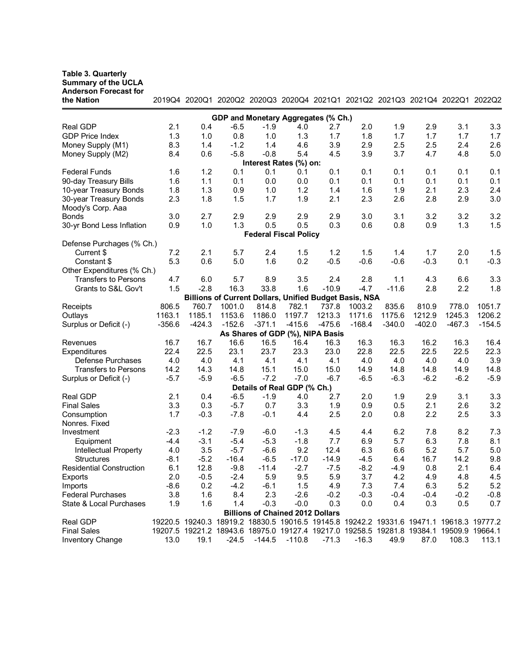## **Table 3. Quarterly**

**Summary of the UCLA** 

| <b>Anderson Forecast for</b><br>the Nation |          |          |          | 2019Q4 2020Q1 2020Q2 2020Q3 2020Q4 2021Q1 2021Q2 2021Q3 2021Q4 2022Q1 2022Q2            |          |          |          |          |          |          |          |  |
|--------------------------------------------|----------|----------|----------|-----------------------------------------------------------------------------------------|----------|----------|----------|----------|----------|----------|----------|--|
| GDP and Monetary Aggregates (% Ch.)        |          |          |          |                                                                                         |          |          |          |          |          |          |          |  |
| Real GDP                                   | 2.1      | 0.4      | $-6.5$   | $-1.9$                                                                                  | 4.0      | 2.7      | 2.0      | 1.9      | 2.9      | 3.1      | 3.3      |  |
| <b>GDP Price Index</b>                     | 1.3      | 1.0      | 0.8      | 1.0                                                                                     | 1.3      | 1.7      | 1.8      | 1.7      | 1.7      | 1.7      | 1.7      |  |
| Money Supply (M1)                          | 8.3      | 1.4      | $-1.2$   | 1.4                                                                                     | 4.6      | 3.9      | 2.9      | 2.5      | 2.5      | 2.4      | 2.6      |  |
| Money Supply (M2)                          | 8.4      | 0.6      | $-5.8$   | $-0.8$                                                                                  | 5.4      | 4.5      | 3.9      | 3.7      | 4.7      | 4.8      | 5.0      |  |
|                                            |          |          |          | Interest Rates (%) on:                                                                  |          |          |          |          |          |          |          |  |
| <b>Federal Funds</b>                       | 1.6      | 1.2      | 0.1      | 0.1                                                                                     | 0.1      | 0.1      | 0.1      | 0.1      | 0.1      | 0.1      | 0.1      |  |
| 90-day Treasury Bills                      | 1.6      | 1.1      | 0.1      | 0.0                                                                                     | 0.0      | 0.1      | 0.1      | 0.1      | 0.1      | 0.1      | 0.1      |  |
| 10-year Treasury Bonds                     | 1.8      | 1.3      | 0.9      | 1.0                                                                                     | 1.2      | 1.4      | 1.6      | 1.9      | 2.1      | 2.3      | 2.4      |  |
| 30-year Treasury Bonds                     | 2.3      | 1.8      | 1.5      | 1.7                                                                                     | 1.9      | 2.1      | 2.3      | 2.6      | 2.8      | 2.9      | 3.0      |  |
| Moody's Corp. Aaa                          |          |          |          |                                                                                         |          |          |          |          |          |          |          |  |
| <b>Bonds</b>                               | 3.0      | 2.7      | 2.9      | 2.9                                                                                     | 2.9      | 2.9      | 3.0      | 3.1      | 3.2      | 3.2      | 3.2      |  |
| 30-yr Bond Less Inflation                  | 0.9      | 1.0      | 1.3      | 0.5                                                                                     | 0.5      | 0.3      | 0.6      | 0.8      | 0.9      | 1.3      | 1.5      |  |
|                                            |          |          |          | <b>Federal Fiscal Policy</b>                                                            |          |          |          |          |          |          |          |  |
| Defense Purchages (% Ch.)                  |          |          |          |                                                                                         |          |          |          |          |          |          |          |  |
| Current \$                                 | 7.2      | 2.1      | 5.7      | 2.4                                                                                     | 1.5      | 1.2      | 1.5      | 1.4      | 1.7      | 2.0      | 1.5      |  |
| Constant \$                                | 5.3      | 0.6      | 5.0      | 1.6                                                                                     | 0.2      | $-0.5$   | $-0.6$   | $-0.6$   | $-0.3$   | 0.1      | $-0.3$   |  |
| Other Expenditures (% Ch.)                 |          |          |          |                                                                                         |          |          |          |          |          |          |          |  |
| <b>Transfers to Persons</b>                | 4.7      | 6.0      | 5.7      | 8.9                                                                                     | 3.5      | 2.4      | 2.8      | 1.1      | 4.3      | 6.6      | 3.3      |  |
| Grants to S&L Gov't                        | 1.5      | $-2.8$   | 16.3     | 33.8                                                                                    | 1.6      | $-10.9$  | $-4.7$   | $-11.6$  | 2.8      | 2.2      | 1.8      |  |
|                                            |          |          |          |                                                                                         |          |          |          |          |          |          |          |  |
| Receipts                                   | 806.5    | 760.7    | 1001.0   | <b>Billions of Current Dollars, Unified Budget Basis, NSA</b><br>814.8                  | 782.1    | 737.8    | 1003.2   | 835.6    | 810.9    | 778.0    | 1051.7   |  |
|                                            | 1163.1   | 1185.1   | 1153.6   | 1186.0                                                                                  | 1197.7   | 1213.3   | 1171.6   | 1175.6   | 1212.9   | 1245.3   | 1206.2   |  |
| Outlays                                    | $-356.6$ | $-424.3$ | $-152.6$ | $-371.1$                                                                                | $-415.6$ | $-475.6$ | $-168.4$ | $-340.0$ | $-402.0$ | $-467.3$ | $-154.5$ |  |
| Surplus or Deficit (-)                     |          |          |          |                                                                                         |          |          |          |          |          |          |          |  |
|                                            |          |          |          | As Shares of GDP (%), NIPA Basis                                                        |          |          |          |          |          |          |          |  |
| Revenues                                   | 16.7     | 16.7     | 16.6     | 16.5                                                                                    | 16.4     | 16.3     | 16.3     | 16.3     | 16.2     | 16.3     | 16.4     |  |
| Expenditures                               | 22.4     | 22.5     | 23.1     | 23.7                                                                                    | 23.3     | 23.0     | 22.8     | 22.5     | 22.5     | 22.5     | 22.3     |  |
| Defense Purchases                          | 4.0      | 4.0      | 4.1      | 4.1                                                                                     | 4.1      | 4.1      | 4.0      | 4.0      | 4.0      | 4.0      | 3.9      |  |
| <b>Transfers to Persons</b>                | 14.2     | 14.3     | 14.8     | 15.1                                                                                    | 15.0     | 15.0     | 14.9     | 14.8     | 14.8     | 14.9     | 14.8     |  |
| Surplus or Deficit (-)                     | $-5.7$   | $-5.9$   | $-6.5$   | $-7.2$                                                                                  | $-7.0$   | $-6.7$   | $-6.5$   | $-6.3$   | $-6.2$   | $-6.2$   | $-5.9$   |  |
|                                            |          |          |          | Details of Real GDP (% Ch.)                                                             |          |          |          |          |          |          |          |  |
| Real GDP                                   | 2.1      | 0.4      | $-6.5$   | $-1.9$                                                                                  | 4.0      | 2.7      | 2.0      | 1.9      | 2.9      | 3.1      | 3.3      |  |
| <b>Final Sales</b>                         | 3.3      | 0.3      | $-5.7$   | 0.7                                                                                     | 3.3      | 1.9      | 0.9      | 0.5      | 2.1      | 2.6      | 3.2      |  |
| Consumption                                | 1.7      | $-0.3$   | $-7.8$   | $-0.1$                                                                                  | 4.4      | 2.5      | 2.0      | 0.8      | 2.2      | 2.5      | 3.3      |  |
| Nonres. Fixed                              |          |          |          |                                                                                         |          |          |          |          |          |          |          |  |
| Investment                                 | $-2.3$   | $-1.2$   | $-7.9$   | $-6.0$                                                                                  | $-1.3$   | 4.5      | 4.4      | 6.2      | 7.8      | 8.2      | 7.3      |  |
| Equipment                                  | $-4.4$   | $-3.1$   | $-5.4$   | $-5.3$                                                                                  | $-1.8$   | 7.7      | 6.9      | 5.7      | 6.3      | 7.8      | 8.1      |  |
| Intellectual Property                      | 4.0      | 3.5      | $-5.7$   | $-6.6$                                                                                  | 9.2      | 12.4     | 6.3      | 6.6      | 5.2      | 5.7      | 5.0      |  |
| <b>Structures</b>                          | $-8.1$   | $-5.2$   | $-16.4$  | $-6.5$                                                                                  | $-17.0$  | $-14.9$  | $-4.5$   | 6.4      | 16.7     | 14.2     | 9.8      |  |
| <b>Residential Construction</b>            | 6.1      | 12.8     | $-9.8$   | $-11.4$                                                                                 | $-2.7$   | $-7.5$   | $-8.2$   | $-4.9$   | 0.8      | 2.1      | 6.4      |  |
| Exports                                    | 2.0      | $-0.5$   | $-2.4$   | 5.9                                                                                     | 9.5      | 5.9      | 3.7      | 4.2      | 4.9      | 4.8      | 4.5      |  |
| Imports                                    | $-8.6$   | 0.2      | $-4.2$   | $-6.1$                                                                                  | 1.5      | 4.9      | 7.3      | 7.4      | 6.3      | 5.2      | 5.2      |  |
| <b>Federal Purchases</b>                   | 3.8      | 1.6      | 8.4      | 2.3                                                                                     | $-2.6$   | $-0.2$   | $-0.3$   | $-0.4$   | $-0.4$   | $-0.2$   | $-0.8$   |  |
| State & Local Purchases                    | 1.9      | 1.6      | 1.4      | $-0.3$                                                                                  | $-0.0$   | 0.3      | 0.0      | 0.4      | 0.3      | 0.5      | 0.7      |  |
|                                            |          |          |          | <b>Billions of Chained 2012 Dollars</b>                                                 |          |          |          |          |          |          |          |  |
| Real GDP                                   |          |          |          | 19220.5 19240.3 18919.2 18830.5 19016.5 19145.8 19242.2 19331.6 19471.1 19618.3 19777.2 |          |          |          |          |          |          |          |  |
| <b>Final Sales</b>                         |          |          |          | 19207.5 19221.2 18943.6 18975.0 19127.4 19217.0 19258.5 19281.8 19384.1 19509.9 19664.1 |          |          |          |          |          |          |          |  |
| <b>Inventory Change</b>                    | 13.0     | 19.1     | $-24.5$  | $-144.5$                                                                                | $-110.8$ | $-71.3$  | $-16.3$  | 49.9     | 87.0     | 108.3    | 113.1    |  |